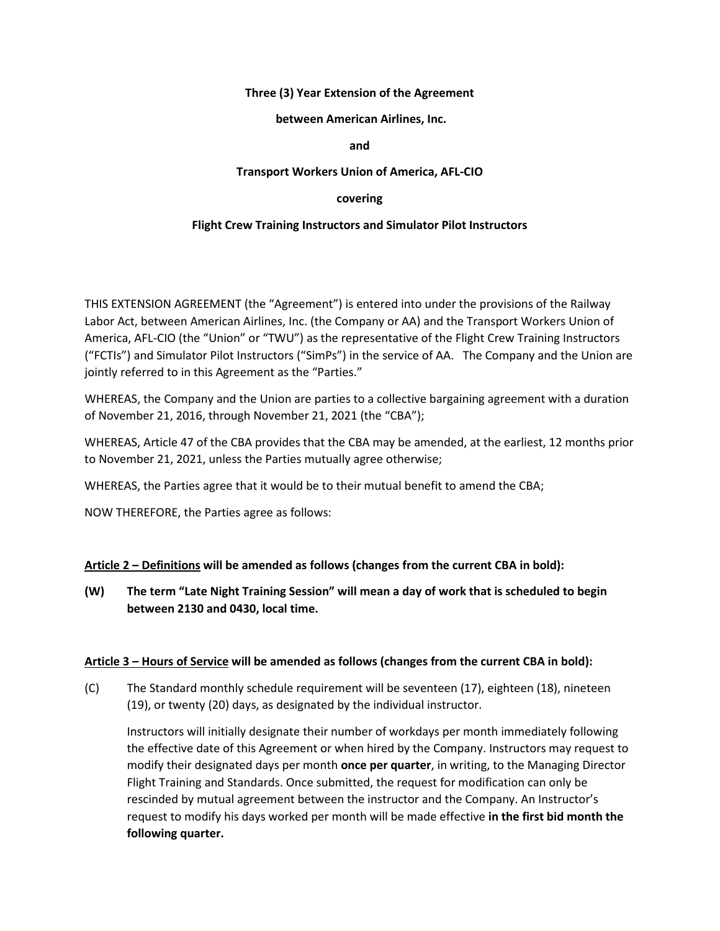#### **Three (3) Year Extension of the Agreement**

#### **between American Airlines, Inc.**

#### **and**

#### **Transport Workers Union of America, AFL-CIO**

### **covering**

### **Flight Crew Training Instructors and Simulator Pilot Instructors**

THIS EXTENSION AGREEMENT (the "Agreement") is entered into under the provisions of the Railway Labor Act, between American Airlines, Inc. (the Company or AA) and the Transport Workers Union of America, AFL-CIO (the "Union" or "TWU") as the representative of the Flight Crew Training Instructors ("FCTIs") and Simulator Pilot Instructors ("SimPs") in the service of AA. The Company and the Union are jointly referred to in this Agreement as the "Parties."

WHEREAS, the Company and the Union are parties to a collective bargaining agreement with a duration of November 21, 2016, through November 21, 2021 (the "CBA");

WHEREAS, Article 47 of the CBA provides that the CBA may be amended, at the earliest, 12 months prior to November 21, 2021, unless the Parties mutually agree otherwise;

WHEREAS, the Parties agree that it would be to their mutual benefit to amend the CBA;

NOW THEREFORE, the Parties agree as follows:

# **Article 2 – Definitions will be amended as follows (changes from the current CBA in bold):**

**(W) The term "Late Night Training Session" will mean a day of work that is scheduled to begin between 2130 and 0430, local time.**

#### **Article 3 – Hours of Service will be amended as follows (changes from the current CBA in bold):**

(C) The Standard monthly schedule requirement will be seventeen (17), eighteen (18), nineteen (19), or twenty (20) days, as designated by the individual instructor.

Instructors will initially designate their number of workdays per month immediately following the effective date of this Agreement or when hired by the Company. Instructors may request to modify their designated days per month **once per quarter**, in writing, to the Managing Director Flight Training and Standards. Once submitted, the request for modification can only be rescinded by mutual agreement between the instructor and the Company. An Instructor's request to modify his days worked per month will be made effective **in the first bid month the following quarter.**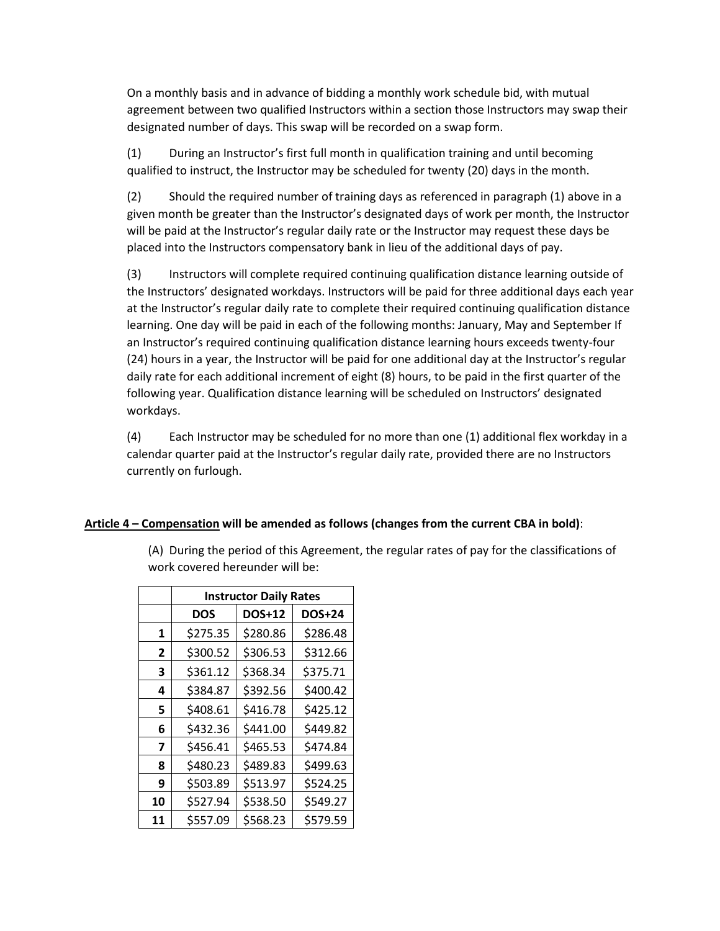On a monthly basis and in advance of bidding a monthly work schedule bid, with mutual agreement between two qualified Instructors within a section those Instructors may swap their designated number of days. This swap will be recorded on a swap form.

(1) During an Instructor's first full month in qualification training and until becoming qualified to instruct, the Instructor may be scheduled for twenty (20) days in the month.

(2) Should the required number of training days as referenced in paragraph (1) above in a given month be greater than the Instructor's designated days of work per month, the Instructor will be paid at the Instructor's regular daily rate or the Instructor may request these days be placed into the Instructors compensatory bank in lieu of the additional days of pay.

(3) Instructors will complete required continuing qualification distance learning outside of the Instructors' designated workdays. Instructors will be paid for three additional days each year at the Instructor's regular daily rate to complete their required continuing qualification distance learning. One day will be paid in each of the following months: January, May and September If an Instructor's required continuing qualification distance learning hours exceeds twenty-four (24) hours in a year, the Instructor will be paid for one additional day at the Instructor's regular daily rate for each additional increment of eight (8) hours, to be paid in the first quarter of the following year. Qualification distance learning will be scheduled on Instructors' designated workdays.

(4) Each Instructor may be scheduled for no more than one (1) additional flex workday in a calendar quarter paid at the Instructor's regular daily rate, provided there are no Instructors currently on furlough.

# **Article 4 – Compensation will be amended as follows (changes from the current CBA in bold)**:

(A) During the period of this Agreement, the regular rates of pay for the classifications of work covered hereunder will be:

|    | <b>Instructor Daily Rates</b> |          |               |
|----|-------------------------------|----------|---------------|
|    | <b>DOS</b>                    | DOS+12   | <b>DOS+24</b> |
| 1  | \$275.35                      | \$280.86 | \$286.48      |
| 2  | \$300.52                      | \$306.53 | \$312.66      |
| 3  | \$361.12                      | \$368.34 | \$375.71      |
| 4  | \$384.87                      | \$392.56 | \$400.42      |
| 5  | \$408.61                      | \$416.78 | \$425.12      |
| 6  | \$432.36                      | \$441.00 | \$449.82      |
| 7  | \$456.41                      | \$465.53 | \$474.84      |
| 8  | \$480.23                      | \$489.83 | \$499.63      |
| 9  | \$503.89                      | \$513.97 | \$524.25      |
| 10 | \$527.94                      | \$538.50 | \$549.27      |
| 11 | \$557.09                      | \$568.23 | \$579.59      |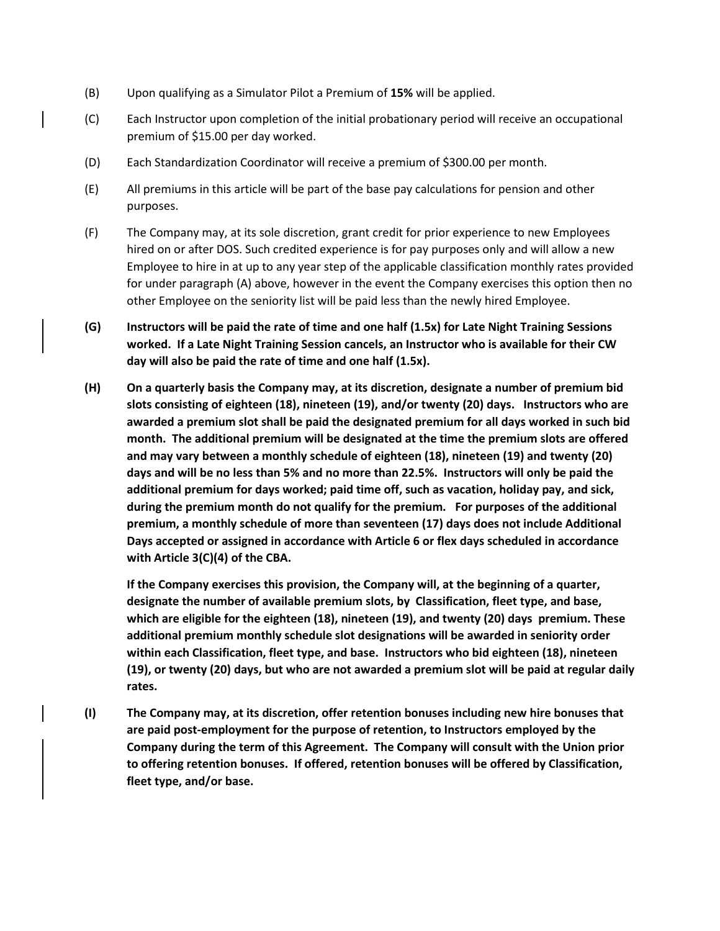- (B) Upon qualifying as a Simulator Pilot a Premium of **15%** will be applied.
- (C) Each Instructor upon completion of the initial probationary period will receive an occupational premium of \$15.00 per day worked.
- (D) Each Standardization Coordinator will receive a premium of \$300.00 per month.
- (E) All premiums in this article will be part of the base pay calculations for pension and other purposes.
- (F) The Company may, at its sole discretion, grant credit for prior experience to new Employees hired on or after DOS. Such credited experience is for pay purposes only and will allow a new Employee to hire in at up to any year step of the applicable classification monthly rates provided for under paragraph (A) above, however in the event the Company exercises this option then no other Employee on the seniority list will be paid less than the newly hired Employee.
- **(G) Instructors will be paid the rate of time and one half (1.5x) for Late Night Training Sessions worked. If a Late Night Training Session cancels, an Instructor who is available for their CW day will also be paid the rate of time and one half (1.5x).**
- **(H) On a quarterly basis the Company may, at its discretion, designate a number of premium bid slots consisting of eighteen (18), nineteen (19), and/or twenty (20) days. Instructors who are awarded a premium slot shall be paid the designated premium for all days worked in such bid month. The additional premium will be designated at the time the premium slots are offered and may vary between a monthly schedule of eighteen (18), nineteen (19) and twenty (20) days and will be no less than 5% and no more than 22.5%. Instructors will only be paid the additional premium for days worked; paid time off, such as vacation, holiday pay, and sick, during the premium month do not qualify for the premium. For purposes of the additional premium, a monthly schedule of more than seventeen (17) days does not include Additional Days accepted or assigned in accordance with Article 6 or flex days scheduled in accordance with Article 3(C)(4) of the CBA.**

**If the Company exercises this provision, the Company will, at the beginning of a quarter, designate the number of available premium slots, by Classification, fleet type, and base, which are eligible for the eighteen (18), nineteen (19), and twenty (20) days premium. These additional premium monthly schedule slot designations will be awarded in seniority order within each Classification, fleet type, and base. Instructors who bid eighteen (18), nineteen (19), or twenty (20) days, but who are not awarded a premium slot will be paid at regular daily rates.**

**(I) The Company may, at its discretion, offer retention bonuses including new hire bonuses that are paid post-employment for the purpose of retention, to Instructors employed by the Company during the term of this Agreement. The Company will consult with the Union prior to offering retention bonuses. If offered, retention bonuses will be offered by Classification, fleet type, and/or base.**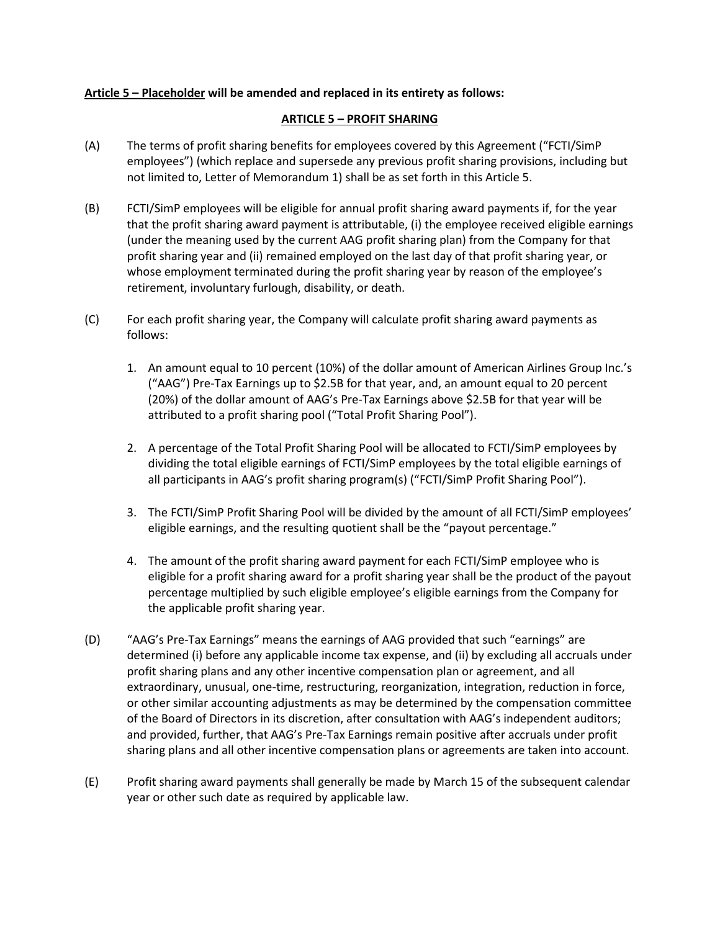### **Article 5 – Placeholder will be amended and replaced in its entirety as follows:**

## **ARTICLE 5 – PROFIT SHARING**

- (A) The terms of profit sharing benefits for employees covered by this Agreement ("FCTI/SimP employees") (which replace and supersede any previous profit sharing provisions, including but not limited to, Letter of Memorandum 1) shall be as set forth in this Article 5.
- (B) FCTI/SimP employees will be eligible for annual profit sharing award payments if, for the year that the profit sharing award payment is attributable, (i) the employee received eligible earnings (under the meaning used by the current AAG profit sharing plan) from the Company for that profit sharing year and (ii) remained employed on the last day of that profit sharing year, or whose employment terminated during the profit sharing year by reason of the employee's retirement, involuntary furlough, disability, or death.
- (C) For each profit sharing year, the Company will calculate profit sharing award payments as follows:
	- 1. An amount equal to 10 percent (10%) of the dollar amount of American Airlines Group Inc.'s ("AAG") Pre-Tax Earnings up to \$2.5B for that year, and, an amount equal to 20 percent (20%) of the dollar amount of AAG's Pre-Tax Earnings above \$2.5B for that year will be attributed to a profit sharing pool ("Total Profit Sharing Pool").
	- 2. A percentage of the Total Profit Sharing Pool will be allocated to FCTI/SimP employees by dividing the total eligible earnings of FCTI/SimP employees by the total eligible earnings of all participants in AAG's profit sharing program(s) ("FCTI/SimP Profit Sharing Pool").
	- 3. The FCTI/SimP Profit Sharing Pool will be divided by the amount of all FCTI/SimP employees' eligible earnings, and the resulting quotient shall be the "payout percentage."
	- 4. The amount of the profit sharing award payment for each FCTI/SimP employee who is eligible for a profit sharing award for a profit sharing year shall be the product of the payout percentage multiplied by such eligible employee's eligible earnings from the Company for the applicable profit sharing year.
- (D) "AAG's Pre-Tax Earnings" means the earnings of AAG provided that such "earnings" are determined (i) before any applicable income tax expense, and (ii) by excluding all accruals under profit sharing plans and any other incentive compensation plan or agreement, and all extraordinary, unusual, one-time, restructuring, reorganization, integration, reduction in force, or other similar accounting adjustments as may be determined by the compensation committee of the Board of Directors in its discretion, after consultation with AAG's independent auditors; and provided, further, that AAG's Pre-Tax Earnings remain positive after accruals under profit sharing plans and all other incentive compensation plans or agreements are taken into account.
- (E) Profit sharing award payments shall generally be made by March 15 of the subsequent calendar year or other such date as required by applicable law.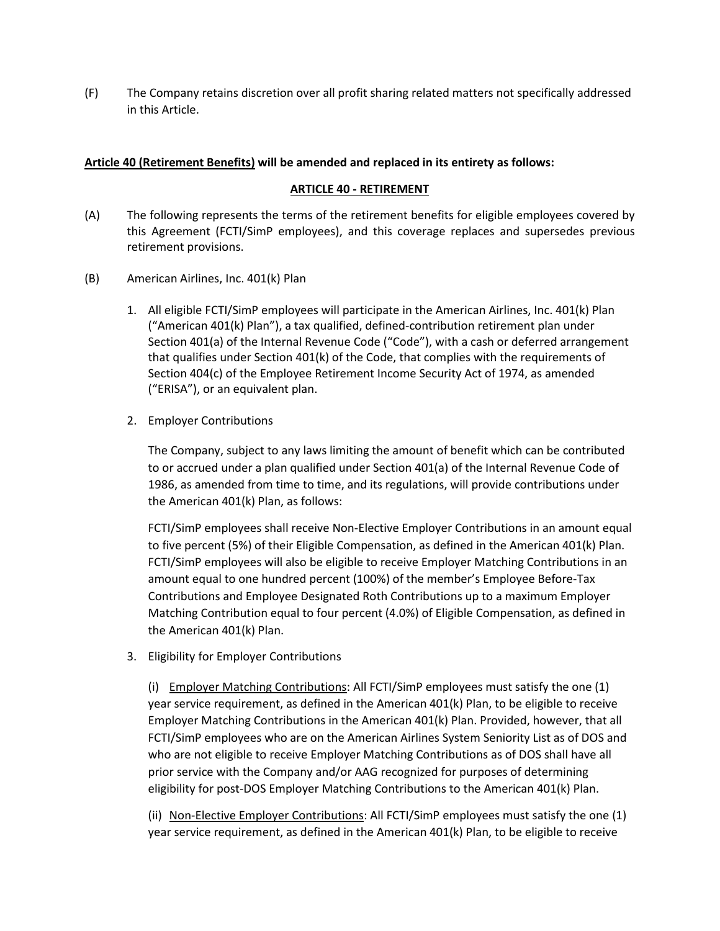(F) The Company retains discretion over all profit sharing related matters not specifically addressed in this Article.

#### **Article 40 (Retirement Benefits) will be amended and replaced in its entirety as follows:**

#### **ARTICLE 40 - RETIREMENT**

- (A) The following represents the terms of the retirement benefits for eligible employees covered by this Agreement (FCTI/SimP employees), and this coverage replaces and supersedes previous retirement provisions.
- (B) American Airlines, Inc. 401(k) Plan
	- 1. All eligible FCTI/SimP employees will participate in the American Airlines, Inc. 401(k) Plan ("American 401(k) Plan"), a tax qualified, defined-contribution retirement plan under Section 401(a) of the Internal Revenue Code ("Code"), with a cash or deferred arrangement that qualifies under Section 401(k) of the Code, that complies with the requirements of Section 404(c) of the Employee Retirement Income Security Act of 1974, as amended ("ERISA"), or an equivalent plan.
	- 2. Employer Contributions

The Company, subject to any laws limiting the amount of benefit which can be contributed to or accrued under a plan qualified under Section 401(a) of the Internal Revenue Code of 1986, as amended from time to time, and its regulations, will provide contributions under the American 401(k) Plan, as follows:

FCTI/SimP employees shall receive Non-Elective Employer Contributions in an amount equal to five percent (5%) of their Eligible Compensation, as defined in the American 401(k) Plan. FCTI/SimP employees will also be eligible to receive Employer Matching Contributions in an amount equal to one hundred percent (100%) of the member's Employee Before-Tax Contributions and Employee Designated Roth Contributions up to a maximum Employer Matching Contribution equal to four percent (4.0%) of Eligible Compensation, as defined in the American 401(k) Plan.

3. Eligibility for Employer Contributions

(i) Employer Matching Contributions: All FCTI/SimP employees must satisfy the one (1) year service requirement, as defined in the American 401(k) Plan, to be eligible to receive Employer Matching Contributions in the American 401(k) Plan. Provided, however, that all FCTI/SimP employees who are on the American Airlines System Seniority List as of DOS and who are not eligible to receive Employer Matching Contributions as of DOS shall have all prior service with the Company and/or AAG recognized for purposes of determining eligibility for post-DOS Employer Matching Contributions to the American 401(k) Plan.

(ii) Non-Elective Employer Contributions: All FCTI/SimP employees must satisfy the one (1) year service requirement, as defined in the American 401(k) Plan, to be eligible to receive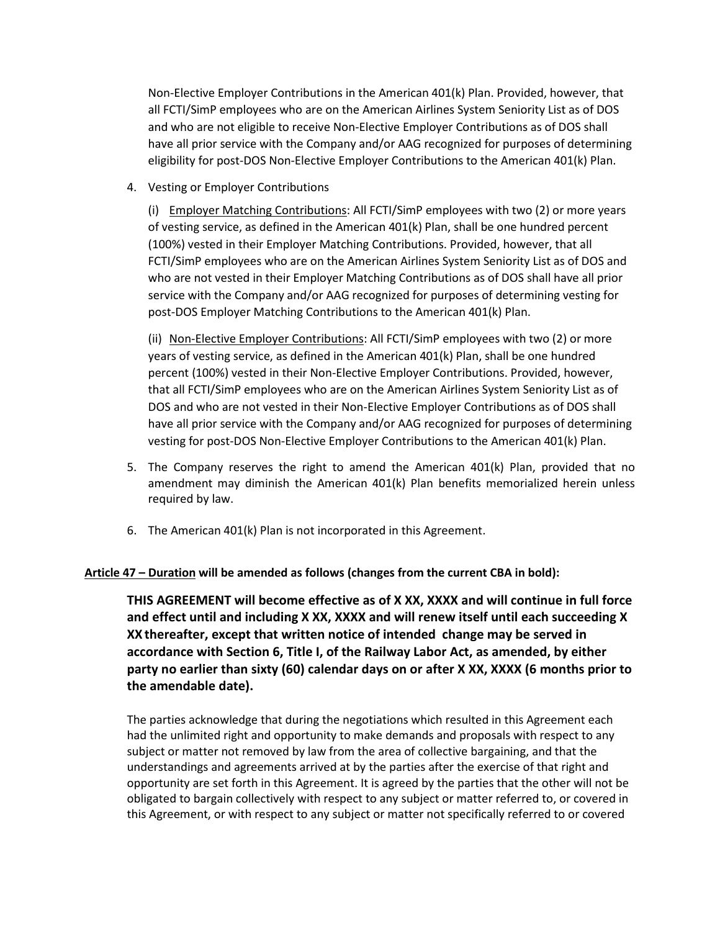Non-Elective Employer Contributions in the American 401(k) Plan. Provided, however, that all FCTI/SimP employees who are on the American Airlines System Seniority List as of DOS and who are not eligible to receive Non-Elective Employer Contributions as of DOS shall have all prior service with the Company and/or AAG recognized for purposes of determining eligibility for post-DOS Non-Elective Employer Contributions to the American 401(k) Plan.

4. Vesting or Employer Contributions

(i) Employer Matching Contributions: All FCTI/SimP employees with two (2) or more years of vesting service, as defined in the American 401(k) Plan, shall be one hundred percent (100%) vested in their Employer Matching Contributions. Provided, however, that all FCTI/SimP employees who are on the American Airlines System Seniority List as of DOS and who are not vested in their Employer Matching Contributions as of DOS shall have all prior service with the Company and/or AAG recognized for purposes of determining vesting for post-DOS Employer Matching Contributions to the American 401(k) Plan.

(ii) Non-Elective Employer Contributions: All FCTI/SimP employees with two (2) or more years of vesting service, as defined in the American 401(k) Plan, shall be one hundred percent (100%) vested in their Non-Elective Employer Contributions. Provided, however, that all FCTI/SimP employees who are on the American Airlines System Seniority List as of DOS and who are not vested in their Non-Elective Employer Contributions as of DOS shall have all prior service with the Company and/or AAG recognized for purposes of determining vesting for post-DOS Non-Elective Employer Contributions to the American 401(k) Plan.

- 5. The Company reserves the right to amend the American 401(k) Plan, provided that no amendment may diminish the American 401(k) Plan benefits memorialized herein unless required by law.
- 6. The American 401(k) Plan is not incorporated in this Agreement.

#### **Article 47 – Duration will be amended as follows (changes from the current CBA in bold):**

**THIS AGREEMENT will become effective as of X XX, XXXX and will continue in full force and effect until and including X XX, XXXX and will renew itself until each succeeding X XX thereafter, except that written notice of intended change may be served in accordance with Section 6, Title I, of the Railway Labor Act, as amended, by either party no earlier than sixty (60) calendar days on or after X XX, XXXX (6 months prior to the amendable date).**

The parties acknowledge that during the negotiations which resulted in this Agreement each had the unlimited right and opportunity to make demands and proposals with respect to any subject or matter not removed by law from the area of collective bargaining, and that the understandings and agreements arrived at by the parties after the exercise of that right and opportunity are set forth in this Agreement. It is agreed by the parties that the other will not be obligated to bargain collectively with respect to any subject or matter referred to, or covered in this Agreement, or with respect to any subject or matter not specifically referred to or covered